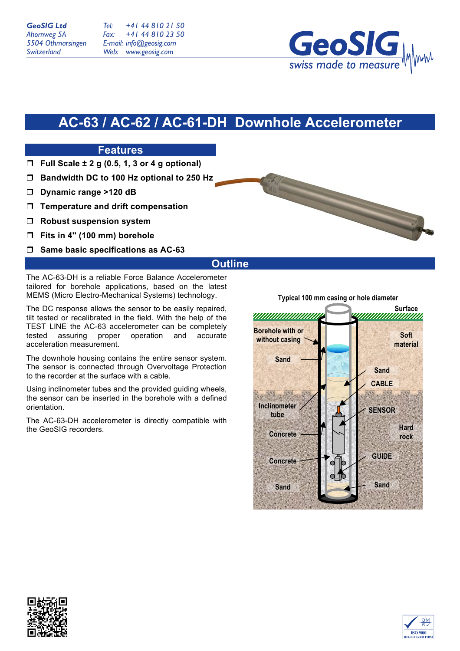*Tel: Fax: E-mail: info@geosig.com Web: www.geosig.com +41 44 810 21 50 +41 44 810 23 50*



# **AC-63 / AC-62 / AC-61-DH Downhole Accelerometer**

## **Features**

- **Full Scale ± 2 g (0.5, 1, 3 or 4 g optional)**
- **Bandwidth DC to 100 Hz optional to 250 Hz**
- **Dynamic range >120 dB**
- **Temperature and drift compensation**
- **Robust suspension system**
- **Fits in 4'' (100 mm) borehole**
- **Same basic specifications as AC-63**

### **Outline**

The AC-63-DH is a reliable Force Balance Accelerometer tailored for borehole applications, based on the latest MEMS (Micro Electro-Mechanical Systems) technology.

The DC response allows the sensor to be easily repaired, tilt tested or recalibrated in the field. With the help of the TEST LINE the AC-63 accelerometer can be completely tested assuring proper operation and accurate acceleration measurement.

The downhole housing contains the entire sensor system. The sensor is connected through Overvoltage Protection to the recorder at the surface with a cable.

Using inclinometer tubes and the provided guiding wheels, the sensor can be inserted in the borehole with a defined orientation.

The AC-63-DH accelerometer is directly compatible with the GeoSIG recorders.

**Typical 100 mm casing or hole diameter**